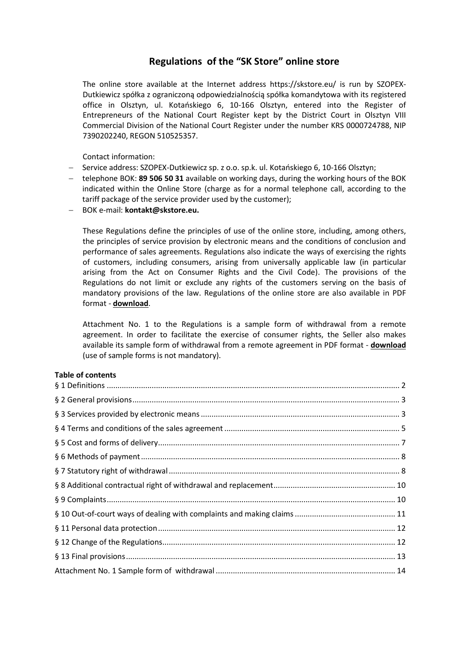# **Regulations of the "SK Store" online store**

The online store available at the Internet address https://skstore.eu/ is run by SZOPEX-Dutkiewicz spółka z ograniczoną odpowiedzialnością spółka komandytowa with its registered office in Olsztyn, ul. Kotańskiego 6, 10-166 Olsztyn, entered into the Register of Entrepreneurs of the National Court Register kept by the District Court in Olsztyn VIII Commercial Division of the National Court Register under the number KRS 0000724788, NIP 7390202240, REGON 510525357.

Contact information:

- − Service address: SZOPEX-Dutkiewicz sp. z o.o. sp.k. ul. Kotańskiego 6, 10-166 Olsztyn;
- − telephone BOK: **89 506 50 31** available on working days, during the working hours of the BOK indicated within the Online Store (charge as for a normal telephone call, according to the tariff package of the service provider used by the customer);
- − BOK e-mail: **kontakt@skstore.eu.**

These Regulations define the principles of use of the online store, including, among others, the principles of service provision by electronic means and the conditions of conclusion and performance of sales agreements. Regulations also indicate the ways of exercising the rights of customers, including consumers, arising from universally applicable law (in particular arising from the Act on Consumer Rights and the Civil Code). The provisions of the Regulations do not limit or exclude any rights of the customers serving on the basis of mandatory provisions of the law. Regulations of the online store are also available in PDF format - **download**.

Attachment No. 1 to the Regulations is a sample form of withdrawal from a remote agreement. In order to facilitate the exercise of consumer rights, the Seller also makes available its sample form of withdrawal from a remote agreement in PDF format - **download**  (use of sample forms is not mandatory).

## **Table of contents**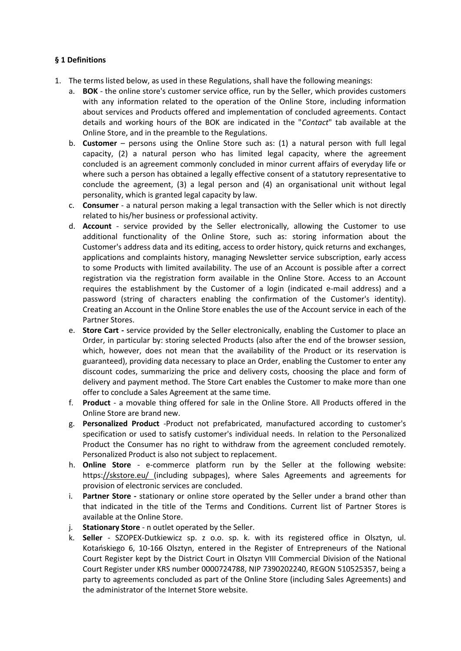## <span id="page-1-0"></span>**§ 1 Definitions**

- 1. The terms listed below, as used in these Regulations, shall have the following meanings:
	- a. **BOK**  the online store's customer service office, run by the Seller, which provides customers with any information related to the operation of the Online Store, including information about services and Products offered and implementation of concluded agreements. Contact details and working hours of the BOK are indicated in the "*Contact*" tab available at the Online Store, and in the preamble to the Regulations.
	- b. **Customer**  persons using the Online Store such as: (1) a natural person with full legal capacity, (2) a natural person who has limited legal capacity, where the agreement concluded is an agreement commonly concluded in minor current affairs of everyday life or where such a person has obtained a legally effective consent of a statutory representative to conclude the agreement, (3) a legal person and (4) an organisational unit without legal personality, which is granted legal capacity by law.
	- c. **Consumer**  a natural person making a legal transaction with the Seller which is not directly related to his/her business or professional activity.
	- d. **Account**  service provided by the Seller electronically, allowing the Customer to use additional functionality of the Online Store, such as: storing information about the Customer's address data and its editing, access to order history, quick returns and exchanges, applications and complaints history, managing Newsletter service subscription, early access to some Products with limited availability. The use of an Account is possible after a correct registration via the registration form available in the Online Store. Access to an Account requires the establishment by the Customer of a login (indicated e-mail address) and a password (string of characters enabling the confirmation of the Customer's identity). Creating an Account in the Online Store enables the use of the Account service in each of the Partner Stores.
	- e. **Store Cart -** service provided by the Seller electronically, enabling the Customer to place an Order, in particular by: storing selected Products (also after the end of the browser session, which, however, does not mean that the availability of the Product or its reservation is guaranteed), providing data necessary to place an Order, enabling the Customer to enter any discount codes, summarizing the price and delivery costs, choosing the place and form of delivery and payment method. The Store Cart enables the Customer to make more than one offer to conclude a Sales Agreement at the same time.
	- f. **Product**  a movable thing offered for sale in the Online Store. All Products offered in the Online Store are brand new.
	- g. **Personalized Product** -Product not prefabricated, manufactured according to customer's specification or used to satisfy customer's individual needs. In relation to the Personalized Product the Consumer has no right to withdraw from the agreement concluded remotely. Personalized Product is also not subject to replacement.
	- h. **Online Store**  e-commerce platform run by the Seller at the following website: https[://skstore.eu/ \(](https://sklepbiegacza.pl/)including subpages), where Sales Agreements and agreements for provision of electronic services are concluded.
	- i. **Partner Store -** stationary or online store operated by the Seller under a brand other than that indicated in the title of the Terms and Conditions. Current list of Partner Stores is available at the Online Store.
	- j. **Stationary Store**  n outlet operated by the Seller.
	- k. **Seller** *-* SZOPEX-Dutkiewicz sp. z o.o. sp. k. with its registered office in Olsztyn, ul. Kotańskiego 6, 10-166 Olsztyn, entered in the Register of Entrepreneurs of the National Court Register kept by the District Court in Olsztyn VIII Commercial Division of the National Court Register under KRS number 0000724788, NIP 7390202240, REGON 510525357, being a party to agreements concluded as part of the Online Store (including Sales Agreements) and the administrator of the Internet Store website.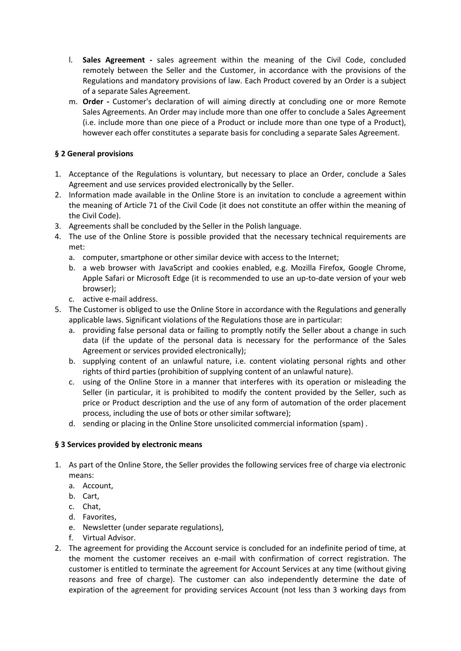- l. **Sales Agreement -** sales agreement within the meaning of the Civil Code, concluded remotely between the Seller and the Customer, in accordance with the provisions of the Regulations and mandatory provisions of law. Each Product covered by an Order is a subject of a separate Sales Agreement.
- m. **Order -** Customer's declaration of will aiming directly at concluding one or more Remote Sales Agreements. An Order may include more than one offer to conclude a Sales Agreement (i.e. include more than one piece of a Product or include more than one type of a Product), however each offer constitutes a separate basis for concluding a separate Sales Agreement.

# <span id="page-2-0"></span>**§ 2 General provisions**

- 1. Acceptance of the Regulations is voluntary, but necessary to place an Order, conclude a Sales Agreement and use services provided electronically by the Seller.
- 2. Information made available in the Online Store is an invitation to conclude a agreement within the meaning of Article 71 of the Civil Code (it does not constitute an offer within the meaning of the Civil Code).
- 3. Agreements shall be concluded by the Seller in the Polish language.
- 4. The use of the Online Store is possible provided that the necessary technical requirements are met:
	- a. computer, smartphone or other similar device with access to the Internet;
	- b. a web browser with JavaScript and cookies enabled, e.g. Mozilla Firefox, Google Chrome, Apple Safari or Microsoft Edge (it is recommended to use an up-to-date version of your web browser);
	- c. active e-mail address.
- 5. The Customer is obliged to use the Online Store in accordance with the Regulations and generally applicable laws. Significant violations of the Regulations those are in particular:
	- a. providing false personal data or failing to promptly notify the Seller about a change in such data (if the update of the personal data is necessary for the performance of the Sales Agreement or services provided electronically);
	- b. supplying content of an unlawful nature, i.e. content violating personal rights and other rights of third parties (prohibition of supplying content of an unlawful nature).
	- c. using of the Online Store in a manner that interferes with its operation or misleading the Seller (in particular, it is prohibited to modify the content provided by the Seller, such as price or Product description and the use of any form of automation of the order placement process, including the use of bots or other similar software);
	- d. sending or placing in the Online Store unsolicited commercial information (spam) .

## <span id="page-2-1"></span>**§ 3 Services provided by electronic means**

- 1. As part of the Online Store, the Seller provides the following services free of charge via electronic means:
	- a. Account,
	- b. Cart,
	- c. Chat,
	- d. Favorites,
	- e. Newsletter (under separate regulations),
	- f. Virtual Advisor.
- 2. The agreement for providing the Account service is concluded for an indefinite period of time, at the moment the customer receives an e-mail with confirmation of correct registration. The customer is entitled to terminate the agreement for Account Services at any time (without giving reasons and free of charge). The customer can also independently determine the date of expiration of the agreement for providing services Account (not less than 3 working days from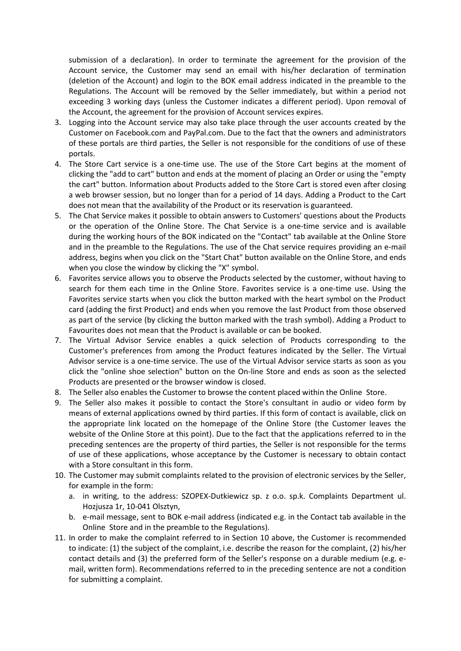submission of a declaration). In order to terminate the agreement for the provision of the Account service, the Customer may send an email with his/her declaration of termination (deletion of the Account) and login to the BOK email address indicated in the preamble to the Regulations. The Account will be removed by the Seller immediately, but within a period not exceeding 3 working days (unless the Customer indicates a different period). Upon removal of the Account, the agreement for the provision of Account services expires.

- 3. Logging into the Account service may also take place through the user accounts created by the Customer on Facebook.com and PayPal.com. Due to the fact that the owners and administrators of these portals are third parties, the Seller is not responsible for the conditions of use of these portals.
- 4. The Store Cart service is a one-time use. The use of the Store Cart begins at the moment of clicking the "add to cart" button and ends at the moment of placing an Order or using the "empty the cart" button. Information about Products added to the Store Cart is stored even after closing a web browser session, but no longer than for a period of 14 days. Adding a Product to the Cart does not mean that the availability of the Product or its reservation is guaranteed.
- 5. The Chat Service makes it possible to obtain answers to Customers' questions about the Products or the operation of the Online Store. The Chat Service is a one-time service and is available during the working hours of the BOK indicated on the "Contact" tab available at the Online Store and in the preamble to the Regulations. The use of the Chat service requires providing an e-mail address, begins when you click on the "Start Chat" button available on the Online Store, and ends when you close the window by clicking the "X" symbol.
- 6. Favorites service allows you to observe the Products selected by the customer, without having to search for them each time in the Online Store. Favorites service is a one-time use. Using the Favorites service starts when you click the button marked with the heart symbol on the Product card (adding the first Product) and ends when you remove the last Product from those observed as part of the service (by clicking the button marked with the trash symbol). Adding a Product to Favourites does not mean that the Product is available or can be booked.
- 7. The Virtual Advisor Service enables a quick selection of Products corresponding to the Customer's preferences from among the Product features indicated by the Seller. The Virtual Advisor service is a one-time service. The use of the Virtual Advisor service starts as soon as you click the "online shoe selection" button on the On-line Store and ends as soon as the selected Products are presented or the browser window is closed.
- 8. The Seller also enables the Customer to browse the content placed within the Online Store.
- 9. The Seller also makes it possible to contact the Store's consultant in audio or video form by means of external applications owned by third parties. If this form of contact is available, click on the appropriate link located on the homepage of the Online Store (the Customer leaves the website of the Online Store at this point). Due to the fact that the applications referred to in the preceding sentences are the property of third parties, the Seller is not responsible for the terms of use of these applications, whose acceptance by the Customer is necessary to obtain contact with a Store consultant in this form.
- 10. The Customer may submit complaints related to the provision of electronic services by the Seller, for example in the form:
	- a. in writing, to the address: SZOPEX-Dutkiewicz sp. z o.o. sp.k. Complaints Department ul. Hozjusza 1r, 10-041 Olsztyn,
	- b. e-mail message, sent to BOK e-mail address (indicated e.g. in the Contact tab available in the Online Store and in the preamble to the Regulations).
- 11. In order to make the complaint referred to in Section 10 above, the Customer is recommended to indicate: (1) the subject of the complaint, i.e. describe the reason for the complaint, (2) his/her contact details and (3) the preferred form of the Seller's response on a durable medium (e.g. email, written form). Recommendations referred to in the preceding sentence are not a condition for submitting a complaint.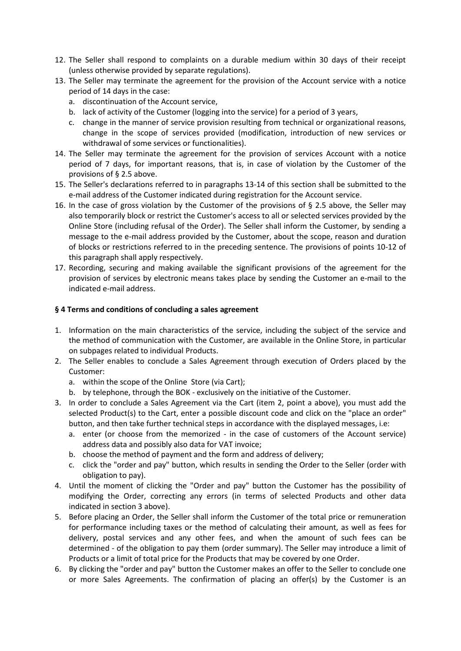- 12. The Seller shall respond to complaints on a durable medium within 30 days of their receipt (unless otherwise provided by separate regulations).
- 13. The Seller may terminate the agreement for the provision of the Account service with a notice period of 14 days in the case:
	- a. discontinuation of the Account service,
	- b. lack of activity of the Customer (logging into the service) for a period of 3 years,
	- c. change in the manner of service provision resulting from technical or organizational reasons, change in the scope of services provided (modification, introduction of new services or withdrawal of some services or functionalities).
- 14. The Seller may terminate the agreement for the provision of services Account with a notice period of 7 days, for important reasons, that is, in case of violation by the Customer of the provisions of § 2.5 above.
- 15. The Seller's declarations referred to in paragraphs 13-14 of this section shall be submitted to the e-mail address of the Customer indicated during registration for the Account service.
- 16. In the case of gross violation by the Customer of the provisions of § 2.5 above, the Seller may also temporarily block or restrict the Customer's access to all or selected services provided by the Online Store (including refusal of the Order). The Seller shall inform the Customer, by sending a message to the e-mail address provided by the Customer, about the scope, reason and duration of blocks or restrictions referred to in the preceding sentence. The provisions of points 10-12 of this paragraph shall apply respectively.
- 17. Recording, securing and making available the significant provisions of the agreement for the provision of services by electronic means takes place by sending the Customer an e-mail to the indicated e-mail address.

## <span id="page-4-0"></span>**§ 4 Terms and conditions of concluding a sales agreement**

- 1. Information on the main characteristics of the service, including the subject of the service and the method of communication with the Customer, are available in the Online Store, in particular on subpages related to individual Products.
- 2. The Seller enables to conclude a Sales Agreement through execution of Orders placed by the Customer:
	- a. within the scope of the Online Store (via Cart);
	- b. by telephone, through the BOK exclusively on the initiative of the Customer.
- 3. In order to conclude a Sales Agreement via the Cart (item 2, point a above), you must add the selected Product(s) to the Cart, enter a possible discount code and click on the "place an order" button, and then take further technical steps in accordance with the displayed messages, i.e:
	- a. enter (or choose from the memorized in the case of customers of the Account service) address data and possibly also data for VAT invoice;
	- b. choose the method of payment and the form and address of delivery;
	- c. click the "order and pay" button, which results in sending the Order to the Seller (order with obligation to pay).
- 4. Until the moment of clicking the "Order and pay" button the Customer has the possibility of modifying the Order, correcting any errors (in terms of selected Products and other data indicated in section 3 above).
- 5. Before placing an Order, the Seller shall inform the Customer of the total price or remuneration for performance including taxes or the method of calculating their amount, as well as fees for delivery, postal services and any other fees, and when the amount of such fees can be determined - of the obligation to pay them (order summary). The Seller may introduce a limit of Products or a limit of total price for the Products that may be covered by one Order.
- 6. By clicking the "order and pay" button the Customer makes an offer to the Seller to conclude one or more Sales Agreements. The confirmation of placing an offer(s) by the Customer is an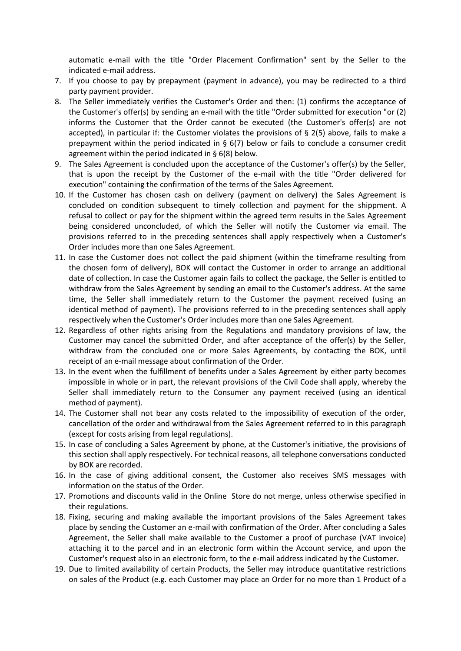automatic e-mail with the title "Order Placement Confirmation" sent by the Seller to the indicated e-mail address.

- 7. If you choose to pay by prepayment (payment in advance), you may be redirected to a third party payment provider.
- 8. The Seller immediately verifies the Customer's Order and then: (1) confirms the acceptance of the Customer's offer(s) by sending an e-mail with the title "Order submitted for execution "or (2) informs the Customer that the Order cannot be executed (the Customer's offer(s) are not accepted), in particular if: the Customer violates the provisions of § 2(5) above, fails to make a prepayment within the period indicated in  $\S$  6(7) below or fails to conclude a consumer credit agreement within the period indicated in § 6(8) below.
- 9. The Sales Agreement is concluded upon the acceptance of the Customer's offer(s) by the Seller, that is upon the receipt by the Customer of the e-mail with the title "Order delivered for execution" containing the confirmation of the terms of the Sales Agreement.
- 10. If the Customer has chosen cash on delivery (payment on delivery) the Sales Agreement is concluded on condition subsequent to timely collection and payment for the shippment. A refusal to collect or pay for the shipment within the agreed term results in the Sales Agreement being considered unconcluded, of which the Seller will notify the Customer via email. The provisions referred to in the preceding sentences shall apply respectively when a Customer's Order includes more than one Sales Agreement.
- 11. In case the Customer does not collect the paid shipment (within the timeframe resulting from the chosen form of delivery), BOK will contact the Customer in order to arrange an additional date of collection. In case the Customer again fails to collect the package, the Seller is entitled to withdraw from the Sales Agreement by sending an email to the Customer's address. At the same time, the Seller shall immediately return to the Customer the payment received (using an identical method of payment). The provisions referred to in the preceding sentences shall apply respectively when the Customer's Order includes more than one Sales Agreement.
- 12. Regardless of other rights arising from the Regulations and mandatory provisions of law, the Customer may cancel the submitted Order, and after acceptance of the offer(s) by the Seller, withdraw from the concluded one or more Sales Agreements, by contacting the BOK, until receipt of an e-mail message about confirmation of the Order.
- 13. In the event when the fulfillment of benefits under a Sales Agreement by either party becomes impossible in whole or in part, the relevant provisions of the Civil Code shall apply, whereby the Seller shall immediately return to the Consumer any payment received (using an identical method of payment).
- 14. The Customer shall not bear any costs related to the impossibility of execution of the order, cancellation of the order and withdrawal from the Sales Agreement referred to in this paragraph (except for costs arising from legal regulations).
- 15. In case of concluding a Sales Agreement by phone, at the Customer's initiative, the provisions of this section shall apply respectively. For technical reasons, all telephone conversations conducted by BOK are recorded.
- 16. In the case of giving additional consent, the Customer also receives SMS messages with information on the status of the Order.
- 17. Promotions and discounts valid in the Online Store do not merge, unless otherwise specified in their regulations.
- 18. Fixing, securing and making available the important provisions of the Sales Agreement takes place by sending the Customer an e-mail with confirmation of the Order. After concluding a Sales Agreement, the Seller shall make available to the Customer a proof of purchase (VAT invoice) attaching it to the parcel and in an electronic form within the Account service, and upon the Customer's request also in an electronic form, to the e-mail address indicated by the Customer.
- 19. Due to limited availability of certain Products, the Seller may introduce quantitative restrictions on sales of the Product (e.g. each Customer may place an Order for no more than 1 Product of a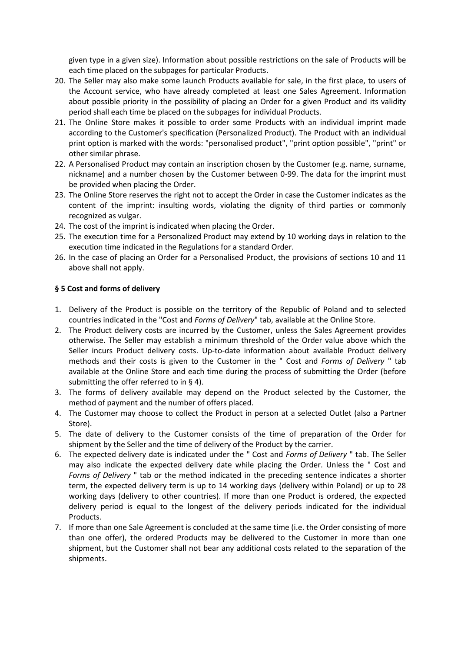given type in a given size). Information about possible restrictions on the sale of Products will be each time placed on the subpages for particular Products.

- 20. The Seller may also make some launch Products available for sale, in the first place, to users of the Account service, who have already completed at least one Sales Agreement. Information about possible priority in the possibility of placing an Order for a given Product and its validity period shall each time be placed on the subpages for individual Products.
- 21. The Online Store makes it possible to order some Products with an individual imprint made according to the Customer's specification (Personalized Product). The Product with an individual print option is marked with the words: "personalised product", "print option possible", "print" or other similar phrase.
- 22. A Personalised Product may contain an inscription chosen by the Customer (e.g. name, surname, nickname) and a number chosen by the Customer between 0-99. The data for the imprint must be provided when placing the Order.
- 23. The Online Store reserves the right not to accept the Order in case the Customer indicates as the content of the imprint: insulting words, violating the dignity of third parties or commonly recognized as vulgar.
- 24. The cost of the imprint is indicated when placing the Order.
- 25. The execution time for a Personalized Product may extend by 10 working days in relation to the execution time indicated in the Regulations for a standard Order.
- 26. In the case of placing an Order for a Personalised Product, the provisions of sections 10 and 11 above shall not apply.

#### <span id="page-6-0"></span>**§ 5 Cost and forms of delivery**

- 1. Delivery of the Product is possible on the territory of the Republic of Poland and to selected countries indicated in the "Cost and *Forms of Delivery*" tab, available at the Online Store.
- 2. The Product delivery costs are incurred by the Customer, unless the Sales Agreement provides otherwise. The Seller may establish a minimum threshold of the Order value above which the Seller incurs Product delivery costs. Up-to-date information about available Product delivery methods and their costs is given to the Customer in the " Cost and *Forms of Delivery* " tab available at the Online Store and each time during the process of submitting the Order (before submitting the offer referred to in § 4).
- 3. The forms of delivery available may depend on the Product selected by the Customer, the method of payment and the number of offers placed.
- 4. The Customer may choose to collect the Product in person at a selected Outlet (also a Partner Store).
- 5. The date of delivery to the Customer consists of the time of preparation of the Order for shipment by the Seller and the time of delivery of the Product by the carrier.
- 6. The expected delivery date is indicated under the " Cost and *Forms of Delivery* " tab. The Seller may also indicate the expected delivery date while placing the Order. Unless the " Cost and *Forms of Delivery* " tab or the method indicated in the preceding sentence indicates a shorter term, the expected delivery term is up to 14 working days (delivery within Poland) or up to 28 working days (delivery to other countries). If more than one Product is ordered, the expected delivery period is equal to the longest of the delivery periods indicated for the individual Products.
- 7. If more than one Sale Agreement is concluded at the same time (i.e. the Order consisting of more than one offer), the ordered Products may be delivered to the Customer in more than one shipment, but the Customer shall not bear any additional costs related to the separation of the shipments.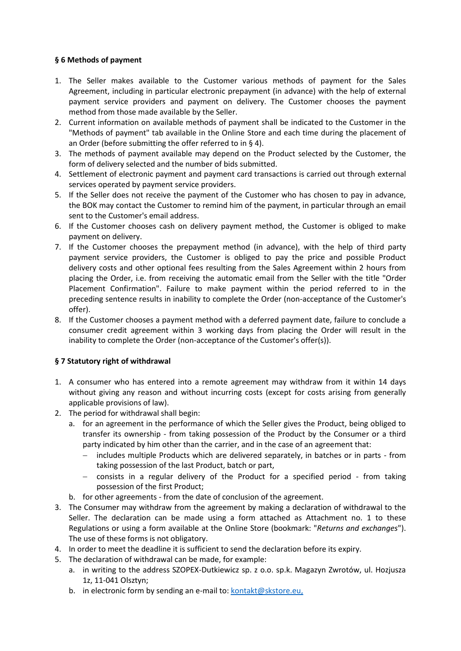## <span id="page-7-0"></span>**§ 6 Methods of payment**

- 1. The Seller makes available to the Customer various methods of payment for the Sales Agreement, including in particular electronic prepayment (in advance) with the help of external payment service providers and payment on delivery. The Customer chooses the payment method from those made available by the Seller.
- 2. Current information on available methods of payment shall be indicated to the Customer in the "Methods of payment" tab available in the Online Store and each time during the placement of an Order (before submitting the offer referred to in § 4).
- 3. The methods of payment available may depend on the Product selected by the Customer, the form of delivery selected and the number of bids submitted.
- 4. Settlement of electronic payment and payment card transactions is carried out through external services operated by payment service providers.
- 5. If the Seller does not receive the payment of the Customer who has chosen to pay in advance, the BOK may contact the Customer to remind him of the payment, in particular through an email sent to the Customer's email address.
- 6. If the Customer chooses cash on delivery payment method, the Customer is obliged to make payment on delivery.
- 7. If the Customer chooses the prepayment method (in advance), with the help of third party payment service providers, the Customer is obliged to pay the price and possible Product delivery costs and other optional fees resulting from the Sales Agreement within 2 hours from placing the Order, i.e. from receiving the automatic email from the Seller with the title "Order Placement Confirmation". Failure to make payment within the period referred to in the preceding sentence results in inability to complete the Order (non-acceptance of the Customer's offer).
- 8. If the Customer chooses a payment method with a deferred payment date, failure to conclude a consumer credit agreement within 3 working days from placing the Order will result in the inability to complete the Order (non-acceptance of the Customer's offer(s)).

## <span id="page-7-1"></span>**§ 7 Statutory right of withdrawal**

- 1. A consumer who has entered into a remote agreement may withdraw from it within 14 days without giving any reason and without incurring costs (except for costs arising from generally applicable provisions of law).
- 2. The period for withdrawal shall begin:
	- a. for an agreement in the performance of which the Seller gives the Product, being obliged to transfer its ownership - from taking possession of the Product by the Consumer or a third party indicated by him other than the carrier, and in the case of an agreement that:
		- − includes multiple Products which are delivered separately, in batches or in parts from taking possession of the last Product, batch or part,
		- − consists in a regular delivery of the Product for a specified period from taking possession of the first Product;
	- b. for other agreements from the date of conclusion of the agreement.
- 3. The Consumer may withdraw from the agreement by making a declaration of withdrawal to the Seller. The declaration can be made using a form attached as Attachment no. 1 to these Regulations or using a form available at the Online Store (bookmark: "*Returns and exchanges*"). The use of these forms is not obligatory.
- 4. In order to meet the deadline it is sufficient to send the declaration before its expiry.
- 5. The declaration of withdrawal can be made, for example:
	- a. in writing to the address SZOPEX-Dutkiewicz sp. z o.o. sp.k. Magazyn Zwrotów, ul. Hozjusza 1z, 11-041 Olsztyn;
	- b. in electronic form by sending an e-mail to: [kontakt@skstore.eu,](mailto:kontakt@skstore.eu,)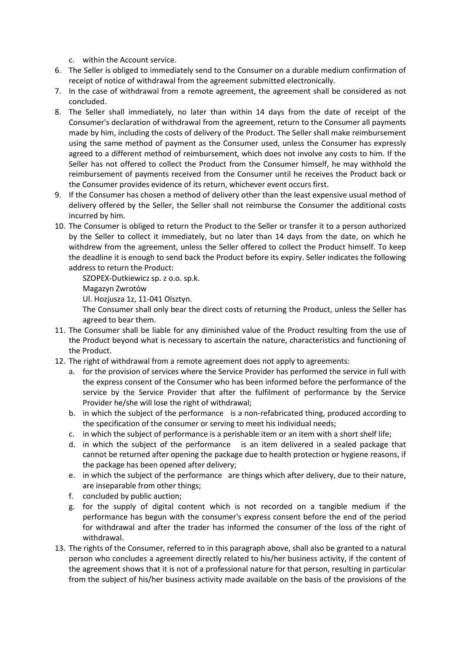- c. within the Account service.
- 6. The Seller is obliged to immediately send to the Consumer on a durable medium confirmation of receipt of notice of withdrawal from the agreement submitted electronically.
- 7. In the case of withdrawal from a remote agreement, the agreement shall be considered as not concluded.
- 8. The Seller shall immediately, no later than within 14 days from the date of receipt of the Consumer's declaration of withdrawal from the agreement, return to the Consumer all payments made by him, including the costs of delivery of the Product. The Seller shall make reimbursement using the same method of payment as the Consumer used, unless the Consumer has expressly agreed to a different method of reimbursement, which does not involve any costs to him. If the Seller has not offered to collect the Product from the Consumer himself, he may withhold the reimbursement of payments received from the Consumer until he receives the Product back or the Consumer provides evidence of its return, whichever event occurs first.
- 9. If the Consumer has chosen a method of delivery other than the least expensive usual method of delivery offered by the Seller, the Seller shall not reimburse the Consumer the additional costs incurred by him.
- 10. The Consumer is obliged to return the Product to the Seller or transfer it to a person authorized by the Seller to collect it immediately, but no later than 14 days from the date, on which he withdrew from the agreement, unless the Seller offered to collect the Product himself. To keep the deadline it is enough to send back the Product before its expiry. Seller indicates the following address to return the Product:

SZOPEX-Dutkiewicz sp. z o.o. sp.k.

Magazyn Zwrotów

Ul. Hozjusza 1z, 11-041 Olsztyn.

The Consumer shall only bear the direct costs of returning the Product, unless the Seller has agreed to bear them.

- 11. The Consumer shall be liable for any diminished value of the Product resulting from the use of the Product beyond what is necessary to ascertain the nature, characteristics and functioning of the Product.
- 12. The right of withdrawal from a remote agreement does not apply to agreements:
	- a. for the provision of services where the Service Provider has performed the service in full with the express consent of the Consumer who has been informed before the performance of the service by the Service Provider that after the fulfilment of performance by the Service Provider he/she will lose the right of withdrawal;
	- b. in which the subject of the performance is a non-refabricated thing, produced according to the specification of the consumer or serving to meet his individual needs;
	- c. in which the subject of performance is a perishable item or an item with a short shelf life;
	- d. in which the subject of the performance is an item delivered in a sealed package that cannot be returned after opening the package due to health protection or hygiene reasons, if the package has been opened after delivery;
	- e. in which the subject of the performance are things which after delivery, due to their nature, are inseparable from other things;
	- f. concluded by public auction;
	- g. for the supply of digital content which is not recorded on a tangible medium if the performance has begun with the consumer's express consent before the end of the period for withdrawal and after the trader has informed the consumer of the loss of the right of withdrawal.
- 13. The rights of the Consumer, referred to in this paragraph above, shall also be granted to a natural person who concludes a agreement directly related to his/her business activity, if the content of the agreement shows that it is not of a professional nature for that person, resulting in particular from the subject of his/her business activity made available on the basis of the provisions of the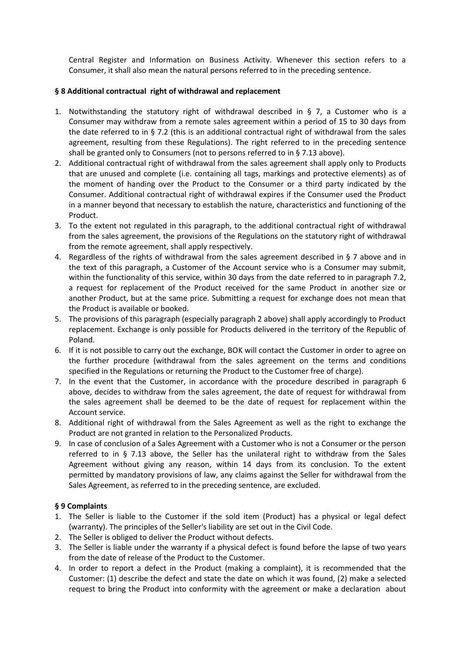Central Register and Information on Business Activity. Whenever this section refers to a Consumer, it shall also mean the natural persons referred to in the preceding sentence.

#### <span id="page-9-0"></span>**§ 8 Additional contractual right of withdrawal and replacement**

- 1. Notwithstanding the statutory right of withdrawal described in § 7, a Customer who is a Consumer may withdraw from a remote sales agreement within a period of 15 to 30 days from the date referred to in § 7.2 (this is an additional contractual right of withdrawal from the sales agreement, resulting from these Regulations). The right referred to in the preceding sentence shall be granted only to Consumers (not to persons referred to in § 7.13 above).
- 2. Additional contractual right of withdrawal from the sales agreement shall apply only to Products that are unused and complete (i.e. containing all tags, markings and protective elements) as of the moment of handing over the Product to the Consumer or a third party indicated by the Consumer. Additional contractual right of withdrawal expires if the Consumer used the Product in a manner beyond that necessary to establish the nature, characteristics and functioning of the Product.
- 3. To the extent not regulated in this paragraph, to the additional contractual right of withdrawal from the sales agreement, the provisions of the Regulations on the statutory right of withdrawal from the remote agreement, shall apply respectively.
- 4. Regardless of the rights of withdrawal from the sales agreement described in § 7 above and in the text of this paragraph, a Customer of the Account service who is a Consumer may submit, within the functionality of this service, within 30 days from the date referred to in paragraph 7.2, a request for replacement of the Product received for the same Product in another size or another Product, but at the same price. Submitting a request for exchange does not mean that the Product is available or booked.
- 5. The provisions of this paragraph (especially paragraph 2 above) shall apply accordingly to Product replacement. Exchange is only possible for Products delivered in the territory of the Republic of Poland.
- 6. If it is not possible to carry out the exchange, BOK will contact the Customer in order to agree on the further procedure (withdrawal from the sales agreement on the terms and conditions specified in the Regulations or returning the Product to the Customer free of charge).
- 7. In the event that the Customer, in accordance with the procedure described in paragraph 6 above, decides to withdraw from the sales agreement, the date of request for withdrawal from the sales agreement shall be deemed to be the date of request for replacement within the Account service.
- 8. Additional right of withdrawal from the Sales Agreement as well as the right to exchange the Product are not granted in relation to the Personalized Products.
- 9. In case of conclusion of a Sales Agreement with a Customer who is not a Consumer or the person referred to in § 7.13 above, the Seller has the unilateral right to withdraw from the Sales Agreement without giving any reason, within 14 days from its conclusion. To the extent permitted by mandatory provisions of law, any claims against the Seller for withdrawal from the Sales Agreement, as referred to in the preceding sentence, are excluded.

#### <span id="page-9-1"></span>**§ 9 Complaints**

- 1. The Seller is liable to the Customer if the sold item (Product) has a physical or legal defect (warranty). The principles of the Seller's liability are set out in the Civil Code.
- 2. The Seller is obliged to deliver the Product without defects.
- 3. The Seller is liable under the warranty if a physical defect is found before the lapse of two years from the date of release of the Product to the Customer.
- 4. In order to report a defect in the Product (making a complaint), it is recommended that the Customer: (1) describe the defect and state the date on which it was found, (2) make a selected request to bring the Product into conformity with the agreement or make a declaration about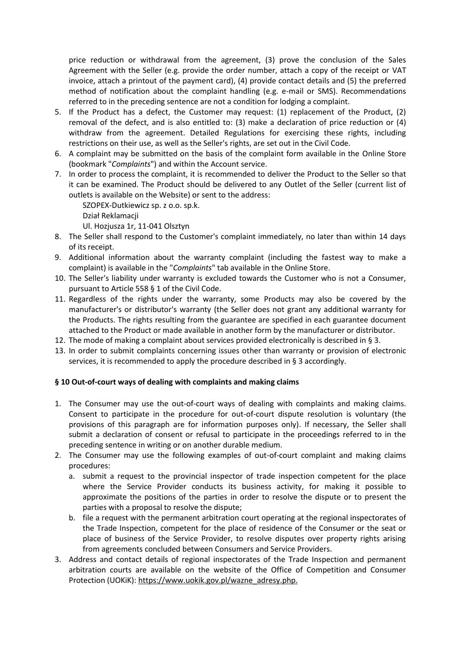price reduction or withdrawal from the agreement, (3) prove the conclusion of the Sales Agreement with the Seller (e.g. provide the order number, attach a copy of the receipt or VAT invoice, attach a printout of the payment card), (4) provide contact details and (5) the preferred method of notification about the complaint handling (e.g. e-mail or SMS). Recommendations referred to in the preceding sentence are not a condition for lodging a complaint.

- 5. If the Product has a defect, the Customer may request: (1) replacement of the Product, (2) removal of the defect, and is also entitled to: (3) make a declaration of price reduction or (4) withdraw from the agreement. Detailed Regulations for exercising these rights, including restrictions on their use, as well as the Seller's rights, are set out in the Civil Code.
- 6. A complaint may be submitted on the basis of the complaint form available in the Online Store (bookmark "*Complaints*") and within the Account service.
- 7. In order to process the complaint, it is recommended to deliver the Product to the Seller so that it can be examined. The Product should be delivered to any Outlet of the Seller (current list of outlets is available on the Website) or sent to the address:

SZOPEX-Dutkiewicz sp. z o.o. sp.k.

Dział Reklamacji

Ul. Hozjusza 1r, 11-041 Olsztyn

- 8. The Seller shall respond to the Customer's complaint immediately, no later than within 14 days of its receipt.
- 9. Additional information about the warranty complaint (including the fastest way to make a complaint) is available in the "*Complaints*" tab available in the Online Store.
- 10. The Seller's liability under warranty is excluded towards the Customer who is not a Consumer, pursuant to Article 558 § 1 of the Civil Code.
- 11. Regardless of the rights under the warranty, some Products may also be covered by the manufacturer's or distributor's warranty (the Seller does not grant any additional warranty for the Products. The rights resulting from the guarantee are specified in each guarantee document attached to the Product or made available in another form by the manufacturer or distributor.
- 12. The mode of making a complaint about services provided electronically is described in  $\S 3$ .
- 13. In order to submit complaints concerning issues other than warranty or provision of electronic services, it is recommended to apply the procedure described in § 3 accordingly.

## <span id="page-10-0"></span>**§ 10 Out-of-court ways of dealing with complaints and making claims**

- 1. The Consumer may use the out-of-court ways of dealing with complaints and making claims. Consent to participate in the procedure for out-of-court dispute resolution is voluntary (the provisions of this paragraph are for information purposes only). If necessary, the Seller shall submit a declaration of consent or refusal to participate in the proceedings referred to in the preceding sentence in writing or on another durable medium.
- 2. The Consumer may use the following examples of out-of-court complaint and making claims procedures:
	- a. submit a request to the provincial inspector of trade inspection competent for the place where the Service Provider conducts its business activity, for making it possible to approximate the positions of the parties in order to resolve the dispute or to present the parties with a proposal to resolve the dispute;
	- b. file a request with the permanent arbitration court operating at the regional inspectorates of the Trade Inspection, competent for the place of residence of the Consumer or the seat or place of business of the Service Provider, to resolve disputes over property rights arising from agreements concluded between Consumers and Service Providers.
- 3. Address and contact details of regional inspectorates of the Trade Inspection and permanent arbitration courts are available on the website of the Office of Competition and Consumer Protection (UOKiK): https://www.uokik.gov.pl/wazne\_adresy.php.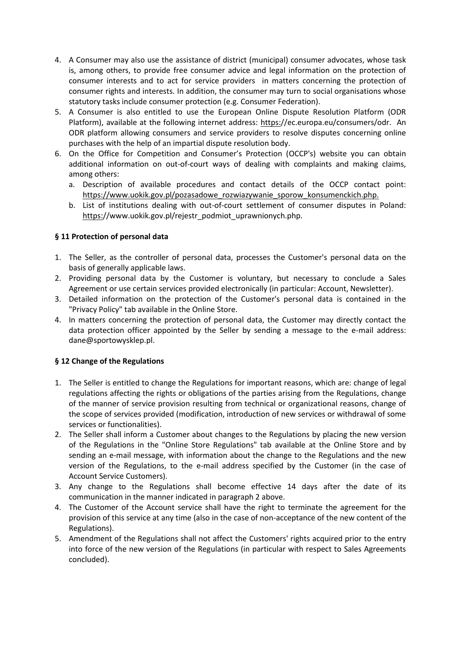- 4. A Consumer may also use the assistance of district (municipal) consumer advocates, whose task is, among others, to provide free consumer advice and legal information on the protection of consumer interests and to act for service providers in matters concerning the protection of consumer rights and interests. In addition, the consumer may turn to social organisations whose statutory tasks include consumer protection (e.g. Consumer Federation).
- 5. A Consumer is also entitled to use the European Online Dispute Resolution Platform (ODR Platform), available at the following internet address: [https:/](https://ec.europa.eu/consumers/odr)/ec.europa.eu/consumers/odr. An ODR platform allowing consumers and service providers to resolve disputes concerning online purchases with the help of an impartial dispute resolution body.
- 6. On the Office for Competition and Consumer's Protection (OCCP's) website you can obtain additional information on out-of-court ways of dealing with complaints and making claims, among others:
	- a. Description of available procedures and contact details of the OCCP contact point: [https://www.uokik.gov.pl/pozasadowe\\_rozwiazywanie\\_sporow\\_konsumenckich.php.](https://www.uokik.gov.pl/pozasadowe_rozwiazywanie_sporow_konsumenckich.php)
	- b. List of institutions dealing with out-of-court settlement of consumer disputes in Poland: [https:/](https://www.uokik.gov.pl/rejestr_podmiot_uprawnionych.php)/www.uokik.gov.pl/rejestr\_podmiot\_uprawnionych.php.

## <span id="page-11-0"></span>**§ 11 Protection of personal data**

- 1. The Seller, as the controller of personal data, processes the Customer's personal data on the basis of generally applicable laws.
- 2. Providing personal data by the Customer is voluntary, but necessary to conclude a Sales Agreement or use certain services provided electronically (in particular: Account, Newsletter).
- 3. Detailed information on the protection of the Customer's personal data is contained in the "Privacy Policy" tab available in the Online Store.
- 4. In matters concerning the protection of personal data, the Customer may directly contact the data protection officer appointed by the Seller by sending a message to the e-mail address: dane@sportowysklep.pl.

## <span id="page-11-1"></span>**§ 12 Change of the Regulations**

- 1. The Seller is entitled to change the Regulations for important reasons, which are: change of legal regulations affecting the rights or obligations of the parties arising from the Regulations, change of the manner of service provision resulting from technical or organizational reasons, change of the scope of services provided (modification, introduction of new services or withdrawal of some services or functionalities).
- 2. The Seller shall inform a Customer about changes to the Regulations by placing the new version of the Regulations in the "Online Store Regulations" tab available at the Online Store and by sending an e-mail message, with information about the change to the Regulations and the new version of the Regulations, to the e-mail address specified by the Customer (in the case of Account Service Customers).
- 3. Any change to the Regulations shall become effective 14 days after the date of its communication in the manner indicated in paragraph 2 above.
- 4. The Customer of the Account service shall have the right to terminate the agreement for the provision of this service at any time (also in the case of non-acceptance of the new content of the Regulations).
- 5. Amendment of the Regulations shall not affect the Customers' rights acquired prior to the entry into force of the new version of the Regulations (in particular with respect to Sales Agreements concluded).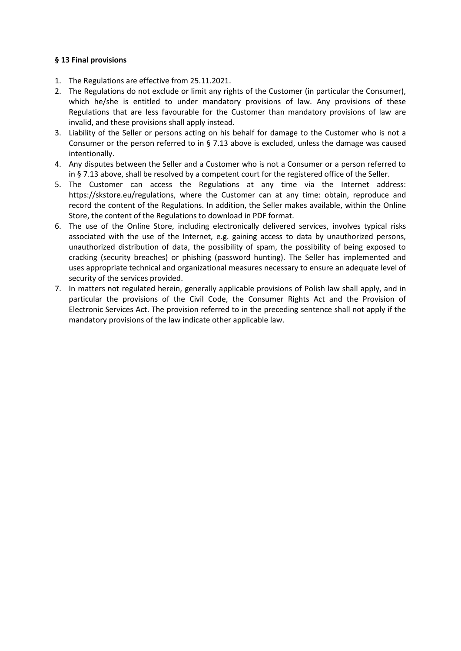#### <span id="page-12-0"></span>**§ 13 Final provisions**

- 1. The Regulations are effective from 25.11.2021.
- 2. The Regulations do not exclude or limit any rights of the Customer (in particular the Consumer), which he/she is entitled to under mandatory provisions of law. Any provisions of these Regulations that are less favourable for the Customer than mandatory provisions of law are invalid, and these provisions shall apply instead.
- 3. Liability of the Seller or persons acting on his behalf for damage to the Customer who is not a Consumer or the person referred to in § 7.13 above is excluded, unless the damage was caused intentionally.
- 4. Any disputes between the Seller and a Customer who is not a Consumer or a person referred to in § 7.13 above, shall be resolved by a competent court for the registered office of the Seller.
- 5. The Customer can access the Regulations at any time via the Internet address: https://skstore.eu/regulations, where the Customer can at any time: obtain, reproduce and record the content of the Regulations. In addition, the Seller makes available, within the Online Store, the content of the Regulations to download in PDF format.
- 6. The use of the Online Store, including electronically delivered services, involves typical risks associated with the use of the Internet, e.g. gaining access to data by unauthorized persons, unauthorized distribution of data, the possibility of spam, the possibility of being exposed to cracking (security breaches) or phishing (password hunting). The Seller has implemented and uses appropriate technical and organizational measures necessary to ensure an adequate level of security of the services provided.
- 7. In matters not regulated herein, generally applicable provisions of Polish law shall apply, and in particular the provisions of the Civil Code, the Consumer Rights Act and the Provision of Electronic Services Act. The provision referred to in the preceding sentence shall not apply if the mandatory provisions of the law indicate other applicable law.